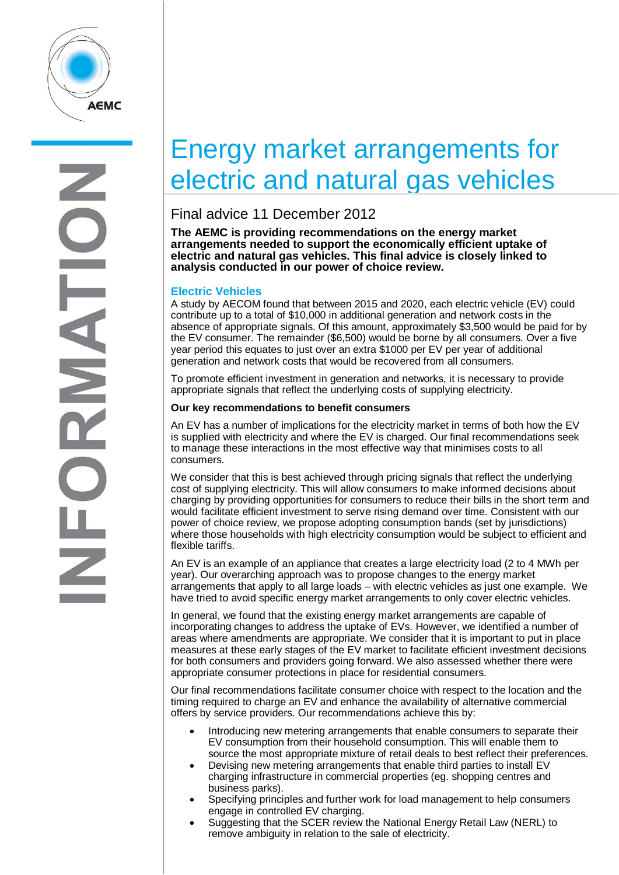

# Energy market arrangements for electric and natural gas vehicles

### Final advice 11 December 2012

**The AEMC is providing recommendations on the energy market arrangements needed to support the economically efficient uptake of electric and natural gas vehicles. This final advice is closely linked to analysis conducted in our power of choice review.**

#### **Electric Vehicles**

A study by AECOM found that between 2015 and 2020, each electric vehicle (EV) could contribute up to a total of \$10,000 in additional generation and network costs in the absence of appropriate signals. Of this amount, approximately \$3,500 would be paid for by the EV consumer. The remainder (\$6,500) would be borne by all consumers. Over a five year period this equates to just over an extra \$1000 per EV per year of additional generation and network costs that would be recovered from all consumers.

To promote efficient investment in generation and networks, it is necessary to provide appropriate signals that reflect the underlying costs of supplying electricity.

#### **Our key recommendations to benefit consumers**

An EV has a number of implications for the electricity market in terms of both how the EV is supplied with electricity and where the EV is charged. Our final recommendations seek to manage these interactions in the most effective way that minimises costs to all consumers.

We consider that this is best achieved through pricing signals that reflect the underlying cost of supplying electricity. This will allow consumers to make informed decisions about charging by providing opportunities for consumers to reduce their bills in the short term and would facilitate efficient investment to serve rising demand over time. Consistent with our power of choice review, we propose adopting consumption bands (set by jurisdictions) where those households with high electricity consumption would be subject to efficient and flexible tariffs.

An EV is an example of an appliance that creates a large electricity load (2 to 4 MWh per year). Our overarching approach was to propose changes to the energy market arrangements that apply to all large loads – with electric vehicles as just one example. We have tried to avoid specific energy market arrangements to only cover electric vehicles.

In general, we found that the existing energy market arrangements are capable of incorporating changes to address the uptake of EVs. However, we identified a number of areas where amendments are appropriate. We consider that it is important to put in place measures at these early stages of the EV market to facilitate efficient investment decisions for both consumers and providers going forward. We also assessed whether there were appropriate consumer protections in place for residential consumers.

Our final recommendations facilitate consumer choice with respect to the location and the timing required to charge an EV and enhance the availability of alternative commercial offers by service providers. Our recommendations achieve this by:

- Introducing new metering arrangements that enable consumers to separate their EV consumption from their household consumption. This will enable them to source the most appropriate mixture of retail deals to best reflect their preferences.
- Devising new metering arrangements that enable third parties to install EV charging infrastructure in commercial properties (eg. shopping centres and business parks).
- Specifying principles and further work for load management to help consumers engage in controlled EV charging.
- Suggesting that the SCER review the National Energy Retail Law (NERL) to remove ambiguity in relation to the sale of electricity.